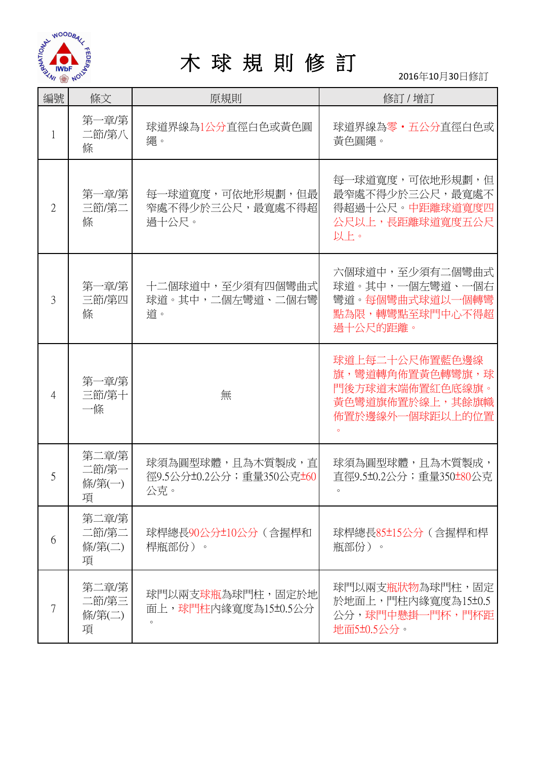

## 木 球 規 則 修 訂

2016年10月30日修訂

| 編號             | 條文                            | 原規則                                                 | 修訂 / 增訂                                                                                    |
|----------------|-------------------------------|-----------------------------------------------------|--------------------------------------------------------------------------------------------|
|                | 第一章/第<br>二節/第八<br>條           | 球道界線為1公分直徑白色或黃色圓<br>繩。                              | 球道界線為零・五公分直徑白色或<br>黃色圓繩。                                                                   |
| $\overline{2}$ | 第一章/第<br>三節/第二<br>條           | 每一球道寬度,可依地形規劃,但最 <br>窄處不得少於三公尺,最寬處不得超<br>過十公尺。      | 每一球道寬度,可依地形規劃,但<br>最窄處不得少於三公尺,最寬處不<br>得超過十公尺。中距離球道寬度四<br>公尺以上,長距離球道寬度五公尺<br>以上。            |
| 3              | 第一章/第<br>三節/第四<br>條           | 十二個球道中,至少須有四個彎曲式<br>球道。其中,二個左彎道、二個右彎<br>道。          | 六個球道中,至少須有二個彎曲式<br>球道。其中,一個左彎道、一個右<br>彎道。每個彎曲式球道以一個轉彎<br>點為限,轉彎點至球門中心不得超<br>過十公尺的距離。       |
| 4              | 第一章/第<br>三節/第十<br>一條          | 無                                                   | 球道上每二十公尺佈置藍色邊線<br>旗,彎道轉角佈置黃色轉彎旗,球<br>門後方球道末端佈置紅色底線旗。<br>黃色彎道旗佈置於線上,其餘旗幟<br>佈置於邊線外一個球距以上的位置 |
| 5              | 第二章/第<br>二節/第一<br>條/第(一)<br>項 | 球須為圓型球體,且為木質製成,直<br>徑9.5公分±0.2公分; 重量350公克±60<br>公克。 | 球須為圓型球體,且為木質製成,<br>直徑9.5±0.2公分; 重量350±80公克                                                 |
| 6              | 第二章/第<br>二節/第二<br>條/第(二)<br>項 | 球桿總長90公分±10公分(含握桿和<br>桿瓶部份)。                        | 球桿總長85±15公分(含握桿和桿<br>瓶部份)。                                                                 |
|                | 第二章/第<br>二節/第三<br>條/第(二)<br>項 | 球門以兩支球瓶為球門柱,固定於地<br>面上,球門柱內緣寬度為15±0.5公分             | 球門以兩支瓶狀物為球門柱,固定<br>於地面上,門柱內緣寬度為15±0.5<br>公分,球門中懸掛一門杯,門杯距<br>地面5±0.5公分。                     |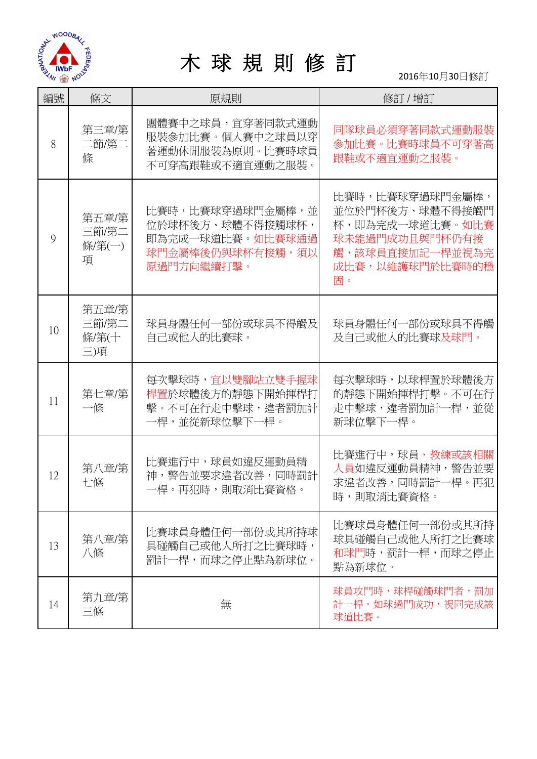

## 木 球 規 則 修 訂

2016年10月30日修訂

| 編號 | 條文                             | 原規則                                                                                        | 修訂 / 增訂                                                                                                             |
|----|--------------------------------|--------------------------------------------------------------------------------------------|---------------------------------------------------------------------------------------------------------------------|
| 8  | 第三章/第<br>二節/第二<br>條            | 團體賽中之球員,宜穿著同款式運動<br>服裝參加比賽。個人賽中之球員以穿<br>著運動休閒服裝為原則。比賽時球員<br>不可穿高跟鞋或不適宜運動之服裝。               | 同隊球員必須穿著同款式運動服裝<br>參加比賽。比賽時球員不可穿著高<br>跟鞋或不適宜運動之服裝。                                                                  |
| 9  | 第五章/第<br>三節/第二<br>條/第(一)<br>項  | 比賽時,比賽球穿過球門金屬棒,並<br>位於球杯後方、球體不得接觸球杯,<br>即為完成一球道比賽。如比賽球通過<br>球門金屬棒後仍與球杯有接觸,須以<br>原過門方向繼續打擊。 | 比賽時,比賽球穿過球門金屬棒,<br>並位於門杯後方、球體不得接觸門<br>杯,即為完成一球道比賽。如比賽<br>球未能過門成功且與門杯仍有接<br>觸,該球員直接加記一桿並視為完<br>成比賽,以維護球門於比賽時的穩<br>固。 |
| 10 | 第五章/第<br>三節/第二<br>條/第(十<br>三)項 | 球員身體任何一部份或球具不得觸及<br>自己或他人的比賽球。                                                             | 球員身體任何一部份或球具不得觸<br>及自己或他人的比賽球及球門。                                                                                   |
| 11 | 第七章/第<br>一條                    | 每次擊球時,宜以雙腳站立雙手握球<br>桿置於球體後方的靜態下開始揮桿打<br>擊。不可在行走中擊球,違者罰加計<br>一桿,並從新球位擊下一桿。                  | 每次擊球時,以球桿置於球體後方<br>的靜態下開始揮桿打擊。不可在行<br>走中擊球,違者罰加計一桿,並從<br>新球位擊下一桿。                                                   |
| 12 | 第八章/第<br>七條                    | 比賽進行中,球員如違反運動員精<br>神,警告並要求違者改善,同時罰計<br>一桿。再犯時,則取消比賽資格。                                     | 比賽進行中,球員、教練或該相關<br>人員如違反運動員精神,警告並要<br>求違者改善,同時罰計一桿。再犯<br>時,則取消比賽資格。                                                 |
| 13 | 第八章/第<br>八條                    | 比賽球員身體任何一部份或其所持球<br>具碰觸自己或他人所打之比賽球時,<br>罰計一桿,而球之停止點為新球位。                                   | 比賽球員身體任何一部份或其所持<br>球具碰觸自己或他人所打之比賽球<br>和球門時,罰計一桿,而球之停止<br>點為新球位。                                                     |
| 14 | 第九章/第<br>三條                    | 無                                                                                          | 球員攻門時,球桿碰觸球門者,罰加<br>計一桿。如球過門成功,視同完成該<br>球道比賽。                                                                       |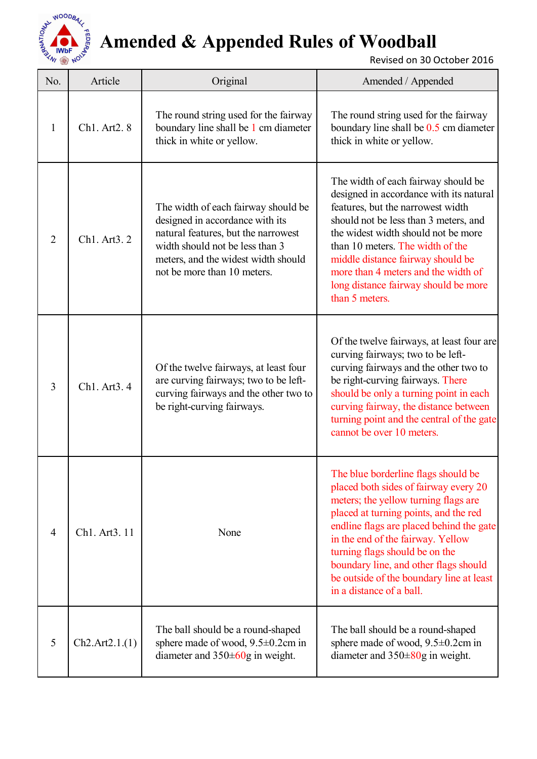

## **Amended & Appended Rules of Woodball**

Revised on 30 October 2016

| No.            | Article        | Original                                                                                                                                                                                                               | Amended / Appended                                                                                                                                                                                                                                                                                                                                                                                |
|----------------|----------------|------------------------------------------------------------------------------------------------------------------------------------------------------------------------------------------------------------------------|---------------------------------------------------------------------------------------------------------------------------------------------------------------------------------------------------------------------------------------------------------------------------------------------------------------------------------------------------------------------------------------------------|
| $\mathbf{1}$   | Ch1. Art2. 8   | The round string used for the fairway<br>boundary line shall be 1 cm diameter<br>thick in white or yellow.                                                                                                             | The round string used for the fairway<br>boundary line shall be 0.5 cm diameter<br>thick in white or yellow.                                                                                                                                                                                                                                                                                      |
| $\overline{2}$ | Ch1. Art3. 2   | The width of each fairway should be<br>designed in accordance with its<br>natural features, but the narrowest<br>width should not be less than 3<br>meters, and the widest width should<br>not be more than 10 meters. | The width of each fairway should be<br>designed in accordance with its natural<br>features, but the narrowest width<br>should not be less than 3 meters, and<br>the widest width should not be more<br>than 10 meters. The width of the<br>middle distance fairway should be<br>more than 4 meters and the width of<br>long distance fairway should be more<br>than 5 meters.                     |
| $\overline{3}$ | Ch1. Art3. 4   | Of the twelve fairways, at least four<br>are curving fairways; two to be left-<br>curving fairways and the other two to<br>be right-curving fairways.                                                                  | Of the twelve fairways, at least four are<br>curving fairways; two to be left-<br>curving fairways and the other two to<br>be right-curving fairways. There<br>should be only a turning point in each<br>curving fairway, the distance between<br>turning point and the central of the gate<br>cannot be over 10 meters.                                                                          |
| 4              | Ch1. Art3. 11  | None                                                                                                                                                                                                                   | The blue borderline flags should be<br>placed both sides of fairway every 20<br>meters; the yellow turning flags are<br>placed at turning points, and the red<br>endline flags are placed behind the gate<br>in the end of the fairway. Yellow<br>turning flags should be on the<br>boundary line, and other flags should<br>be outside of the boundary line at least<br>in a distance of a ball. |
| 5              | Ch2.Art2.1.(1) | The ball should be a round-shaped<br>sphere made of wood, $9.5 \pm 0.2$ cm in<br>diameter and $350\pm 60$ g in weight.                                                                                                 | The ball should be a round-shaped<br>sphere made of wood, $9.5 \pm 0.2$ cm in<br>diameter and $350\pm80$ g in weight.                                                                                                                                                                                                                                                                             |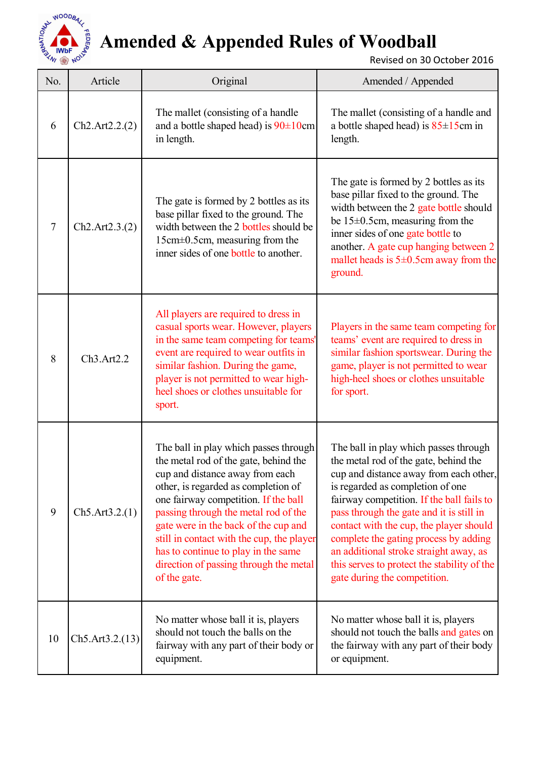

## **Amended & Appended Rules of Woodball**

Revised on 30 October 2016

| No. | Article          | Original                                                                                                                                                                                                                                                                                                                                                                                                                       | Amended / Appended                                                                                                                                                                                                                                                                                                                                                                                                                                                 |
|-----|------------------|--------------------------------------------------------------------------------------------------------------------------------------------------------------------------------------------------------------------------------------------------------------------------------------------------------------------------------------------------------------------------------------------------------------------------------|--------------------------------------------------------------------------------------------------------------------------------------------------------------------------------------------------------------------------------------------------------------------------------------------------------------------------------------------------------------------------------------------------------------------------------------------------------------------|
| 6   | Ch2.Art2.2.2)    | The mallet (consisting of a handle<br>and a bottle shaped head) is $90 \pm 10$ cm<br>in length.                                                                                                                                                                                                                                                                                                                                | The mallet (consisting of a handle and<br>a bottle shaped head) is $85 \pm 15$ cm in<br>length.                                                                                                                                                                                                                                                                                                                                                                    |
| 7   | Ch2.Art2.3. (2)  | The gate is formed by 2 bottles as its<br>base pillar fixed to the ground. The<br>width between the 2 bottles should be<br>15cm±0.5cm, measuring from the<br>inner sides of one bottle to another.                                                                                                                                                                                                                             | The gate is formed by 2 bottles as its<br>base pillar fixed to the ground. The<br>width between the 2 gate bottle should<br>be $15\pm0.5$ cm, measuring from the<br>inner sides of one gate bottle to<br>another. A gate cup hanging between 2<br>mallet heads is $5\pm0.5$ cm away from the<br>ground.                                                                                                                                                            |
| 8   | Ch3.Art2.2       | All players are required to dress in<br>casual sports wear. However, players<br>in the same team competing for teams'<br>event are required to wear outfits in<br>similar fashion. During the game,<br>player is not permitted to wear high-<br>heel shoes or clothes unsuitable for<br>sport.                                                                                                                                 | Players in the same team competing for<br>teams' event are required to dress in<br>similar fashion sportswear. During the<br>game, player is not permitted to wear<br>high-heel shoes or clothes unsuitable<br>for sport.                                                                                                                                                                                                                                          |
| 9   | Ch5. Art3.2.(1)  | The ball in play which passes through<br>the metal rod of the gate, behind the<br>cup and distance away from each<br>other, is regarded as completion of<br>one fairway competition. If the ball<br>passing through the metal rod of the<br>gate were in the back of the cup and<br>still in contact with the cup, the player<br>has to continue to play in the same<br>direction of passing through the metal<br>of the gate. | The ball in play which passes through<br>the metal rod of the gate, behind the<br>cup and distance away from each other,<br>is regarded as completion of one<br>fairway competition. If the ball fails to<br>pass through the gate and it is still in<br>contact with the cup, the player should<br>complete the gating process by adding<br>an additional stroke straight away, as<br>this serves to protect the stability of the<br>gate during the competition. |
| 10  | Ch5. Art3.2.(13) | No matter whose ball it is, players<br>should not touch the balls on the<br>fairway with any part of their body or<br>equipment.                                                                                                                                                                                                                                                                                               | No matter whose ball it is, players<br>should not touch the balls and gates on<br>the fairway with any part of their body<br>or equipment.                                                                                                                                                                                                                                                                                                                         |